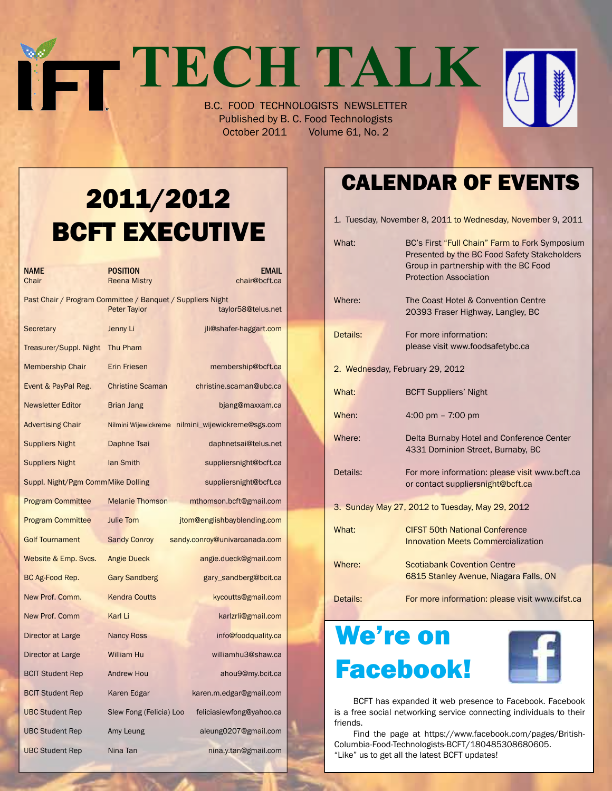# **TECH TALK** B.C. FOOD TECHNOLOGISTS NEWSLETTER

Published by B. C. Food Technologists October 2011 Volume 61, No. 2

# 2011/2012 BCFT EXECUTIVE

| NAME<br>Chair                                              | POSITION<br><b>Reena Mistry</b> | <b>EMAIL</b><br>chair@bcft.ca                     |
|------------------------------------------------------------|---------------------------------|---------------------------------------------------|
| Past Chair / Program Committee / Banquet / Suppliers Night | <b>Peter Taylor</b>             | taylor58@telus.net                                |
| Secretary                                                  | Jenny Li                        | jli@shafer-haggart.com                            |
| Treasurer/Suppl. Night                                     | Thu Pham                        |                                                   |
| <b>Membership Chair</b>                                    | <b>Erin Friesen</b>             | membership@bcft.ca                                |
| Event & PayPal Reg.                                        | <b>Christine Scaman</b>         | christine.scaman@ubc.ca                           |
| <b>Newsletter Editor</b>                                   | Brian Jang                      | bjang@maxxam.ca                                   |
| <b>Advertising Chair</b>                                   |                                 | Nilmini Wijewickreme nilmini_wijewickreme@sgs.com |
| <b>Suppliers Night</b>                                     | Daphne Tsai                     | daphnetsai@telus.net                              |
| <b>Suppliers Night</b>                                     | lan Smith                       | suppliersnight@bcft.ca                            |
| Suppl. Night/Pgm CommMike Dolling                          |                                 | suppliersnight@bcft.ca                            |
| <b>Program Committee</b>                                   | <b>Melanie Thomson</b>          | mthomson.bcft@gmail.com                           |
| <b>Program Committee</b>                                   | <b>Julie Tom</b>                | jtom@englishbayblending.com                       |
| <b>Golf Tournament</b>                                     | <b>Sandy Conroy</b>             | sandy.conroy@univarcanada.com                     |
| Website & Emp. Svcs.                                       | <b>Angie Dueck</b>              | angie.dueck@gmail.com                             |
| BC Ag-Food Rep.                                            | <b>Gary Sandberg</b>            | gary_sandberg@bcit.ca                             |
| New Prof. Comm.                                            | <b>Kendra Coutts</b>            | kycoutts@gmail.com                                |
| New Prof. Comm                                             | Karl Li                         | karlzrli@gmail.com                                |
| Director at Large                                          | <b>Nancy Ross</b>               | info@foodquality.ca                               |
| Director at Large                                          | <b>William Hu</b>               | williamhu3@shaw.ca                                |
| <b>BCIT Student Rep</b>                                    | <b>Andrew Hou</b>               | ahou9@my.bcit.ca                                  |
| <b>BCIT Student Rep</b>                                    | Karen Edgar                     | karen.m.edgar@gmail.com                           |
| <b>UBC Student Rep</b>                                     | Slew Fong (Felicia) Loo         | feliciasiewfong@yahoo.ca                          |
| <b>UBC Student Rep</b>                                     | Amy Leung                       | aleung0207@gmail.com                              |
| <b>UBC Student Rep</b>                                     | Nina Tan                        | nina.y.tan@gmail.com                              |

### Calendar Of Events

|                                 | 1. Tuesday, November 8, 2011 to Wednesday, November 9, 2011                                                                                                              |  |  |  |
|---------------------------------|--------------------------------------------------------------------------------------------------------------------------------------------------------------------------|--|--|--|
| What:                           | BC's First "Full Chain" Farm to Fork Symposium<br>Presented by the BC Food Safety Stakeholders<br>Group in partnership with the BC Food<br><b>Protection Association</b> |  |  |  |
| Where:                          | The Coast Hotel & Convention Centre<br>20393 Fraser Highway, Langley, BC                                                                                                 |  |  |  |
| Details:                        | For more information:<br>please visit www.foodsafetybc.ca                                                                                                                |  |  |  |
| 2. Wednesday, February 29, 2012 |                                                                                                                                                                          |  |  |  |
| What:                           | <b>BCFT Suppliers' Night</b>                                                                                                                                             |  |  |  |
| When:                           | 4:00 pm $- 7:00$ pm                                                                                                                                                      |  |  |  |
| Where:                          | Delta Burnaby Hotel and Conference Center<br>4331 Dominion Street, Burnaby, BC                                                                                           |  |  |  |
| Details:                        | For more information: please visit www.bcft.ca<br>or contact suppliersnight@bcft.ca                                                                                      |  |  |  |
|                                 | 3. Sunday May 27, 2012 to Tuesday, May 29, 2012                                                                                                                          |  |  |  |
| What:                           | <b>CIFST 50th National Conference</b><br><b>Innovation Meets Commercialization</b>                                                                                       |  |  |  |
| Where:                          | <b>Scotiabank Covention Centre</b><br>6815 Stanley Avenue, Niagara Falls, ON                                                                                             |  |  |  |
| Details:                        | For more information: please visit www.cifst.ca                                                                                                                          |  |  |  |

# We're on Facebook!



 BCFT has expanded it web presence to Facebook. Facebook is a free social networking service connecting individuals to their friends.

 Find the page at https://www.facebook.com/pages/British-Columbia-Food-Technologists-BCFT/180485308680605. "Like" us to get all the latest BCFT updates!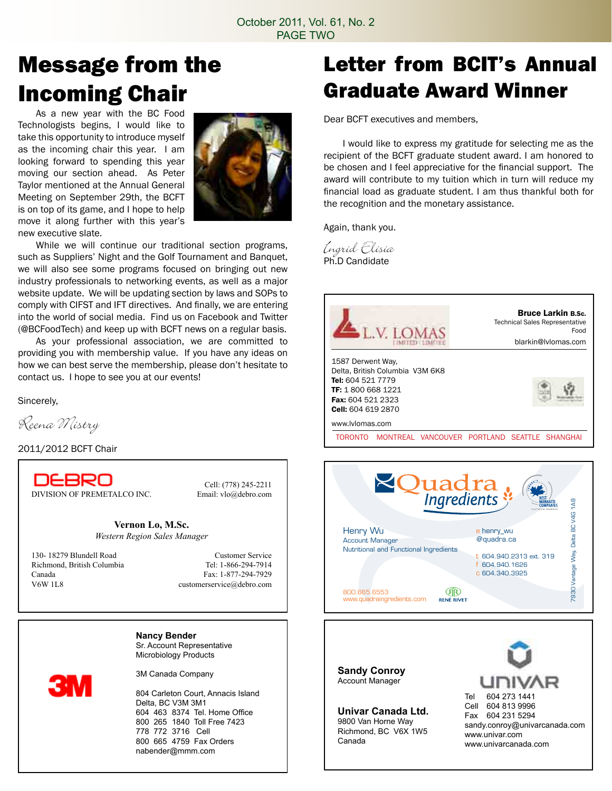### Message from the Incoming Chair

 As a new year with the BC Food Technologists begins, I would like to take this opportunity to introduce myself as the incoming chair this year. I am looking forward to spending this year moving our section ahead. As Peter Taylor mentioned at the Annual General Meeting on September 29th, the BCFT is on top of its game, and I hope to help move it along further with this year's new executive slate.



 While we will continue our traditional section programs, such as Suppliers' Night and the Golf Tournament and Banquet, we will also see some programs focused on bringing out new industry professionals to networking events, as well as a major website update. We will be updating section by laws and SOPs to comply with CIFST and IFT directives. And finally, we are entering into the world of social media. Find us on Facebook and Twitter (@BCFoodTech) and keep up with BCFT news on a regular basis.

 As your professional association, we are committed to providing you with membership value. If you have any ideas on how we can best serve the membership, please don't hesitate to contact us. I hope to see you at our events!

Sincerely,

Reena Mistry

2011/2012 BCFT Chair

DEBRO

DIVISION OF PREMETALCO INC. Email: vlo@debro.com

Cell: (778) 245-2211

**Vernon Lo, M.Sc.** *Western Region Sales Manager*

130- 18279 Blundell Road<br>
Richmond. British Columbia<br>
Tel: 1-866-294-7914 Richmond, British Columbia Canada Fax: 1-877-294-7929 V6W 1L8 customerservice@debro.com

**Nancy Bender** Sr. Account Representative Microbiology Products

3M Canada Company

804 Carleton Court, Annacis Island Delta, BC V3M 3M1 604 463 8374 Tel. Home Office 800 265 1840 Toll Free 7423 778 772 3716 Cell 800 665 4759 Fax Orders nabender@mmm.com

### Letter from BCIT's Annual Graduate Award Winner

Dear BCFT executives and members,

 I would like to express my gratitude for selecting me as the recipient of the BCFT graduate student award. I am honored to be chosen and I feel appreciative for the financial support. The award will contribute to my tuition which in turn will reduce my financial load as graduate student. I am thus thankful both for the recognition and the monetary assistance.

Again, thank you.

Ingrid Elisia Ph.D Candidate





**Sandy Conroy** Account Manager

**Univar Canada Ltd.** 9800 Van Horne Way Richmond, BC V6X 1W5 Canada

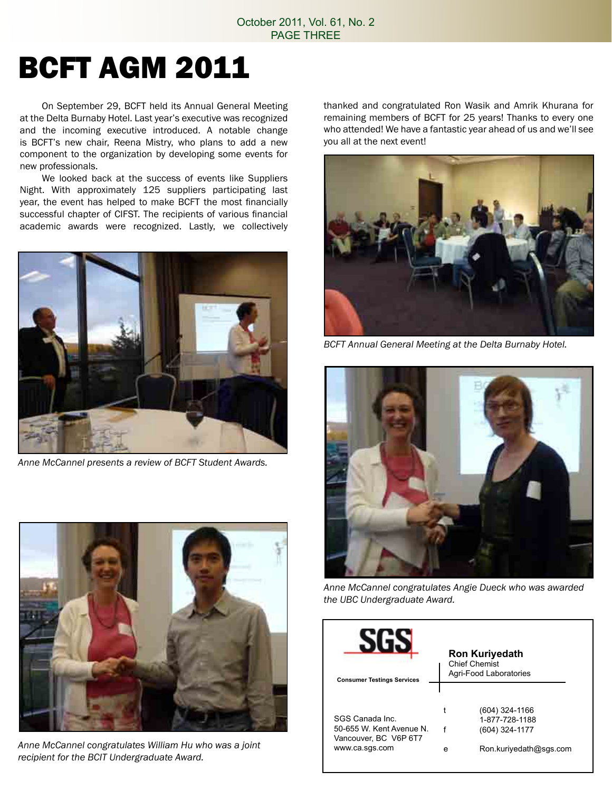# BCFT AGM 2011

 On September 29, BCFT held its Annual General Meeting at the Delta Burnaby Hotel. Last year's executive was recognized and the incoming executive introduced. A notable change is BCFT's new chair, Reena Mistry, who plans to add a new component to the organization by developing some events for new professionals.

 We looked back at the success of events like Suppliers Night. With approximately 125 suppliers participating last year, the event has helped to make BCFT the most financially successful chapter of CIFST. The recipients of various financial academic awards were recognized. Lastly, we collectively



*Anne McCannel presents a review of BCFT Student Awards.*



*Anne McCannel congratulates William Hu who was a joint recipient for the BCIT Undergraduate Award.*

thanked and congratulated Ron Wasik and Amrik Khurana for remaining members of BCFT for 25 years! Thanks to every one who attended! We have a fantastic year ahead of us and we'll see you all at the next event!



*BCFT Annual General Meeting at the Delta Burnaby Hotel.*



*Anne McCannel congratulates Angie Dueck who was awarded the UBC Undergraduate Award.*

|                                   | <b>Ron Kuriyedath</b><br><b>Chief Chemist</b><br>Agri-Food Laboratories |                        |
|-----------------------------------|-------------------------------------------------------------------------|------------------------|
| <b>Consumer Testings Services</b> |                                                                         |                        |
|                                   |                                                                         |                        |
|                                   |                                                                         | (604) 324-1166         |
| SGS Canada Inc.                   |                                                                         | 1-877-728-1188         |
| 50-655 W Kent Avenue N            |                                                                         | (604) 324-1177         |
| Vancouver, BC V6P 6T7             |                                                                         |                        |
| www.ca.sgs.com                    | e                                                                       | Ron.kuriyedath@sqs.com |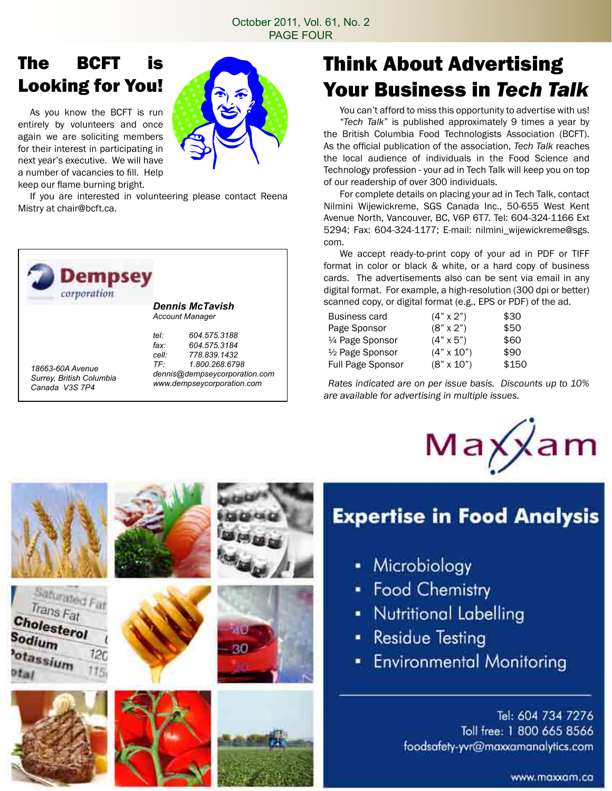### The BCFT is Looking for You!

 As you know the BCFT is run entirely by volunteers and once again we are soliciting members for their interest in participating in next year's executive. We will have a number of vacancies to fill. Help keep our flame burning bright.

Saturated Fat Trans Fat

Cholesterol

Sodium

otassium



30

 If you are interested in volunteering please contact Reena Mistry at chair@bcft.ca.



### Think About Advertising Your Business in *Tech Talk*

You can't afford to miss this opportunity to advertise with us! *"Tech Talk"* is published approximately 9 times a year by the British Columbia Food Technologists Association (BCFT). As the official publication of the association, *Tech Talk* reaches the local audience of individuals in the Food Science and Technology profession - your ad in Tech Talk will keep you on top of our readership of over 300 individuals.

 For complete details on placing your ad in Tech Talk, contact Nilmini Wijewickreme, SGS Canada Inc., 50-655 West Kent Avenue North, Vancouver, BC, V6P 6T7. Tel: 604-324-1166 Ext 5294; Fax: 604-324-1177; E-mail: nilmini\_wijewickreme@sgs. com.

 We accept ready-to-print copy of your ad in PDF or TIFF format in color or black & white, or a hard copy of business cards. The advertisements also can be sent via email in any digital format. For example, a high-resolution (300 dpi or better) scanned copy, or digital format (e.g., EPS or PDF) of the ad.

| $(4" \times 2")$  | \$30  |
|-------------------|-------|
| $(8" \times 2")$  | \$50  |
| $(4" \times 5")$  | \$60  |
| $(4" \times 10")$ | \$90  |
| $(8" \times 10")$ | \$150 |
|                   |       |

*Rates indicated are on per issue basis. Discounts up to 10% are available for advertising in multiple issues.*



# **Expertise in Food Analysis**

- Microbiology
- Food Chemistry
- Nutritional Labelling
- **Residue Testing**
- **Environmental Monitoring**

Tel: 604 734 7276 Toll free: 1 800 665 8566 foodsafety-yvr@maxxamanalytics.com

www.maxxam.co